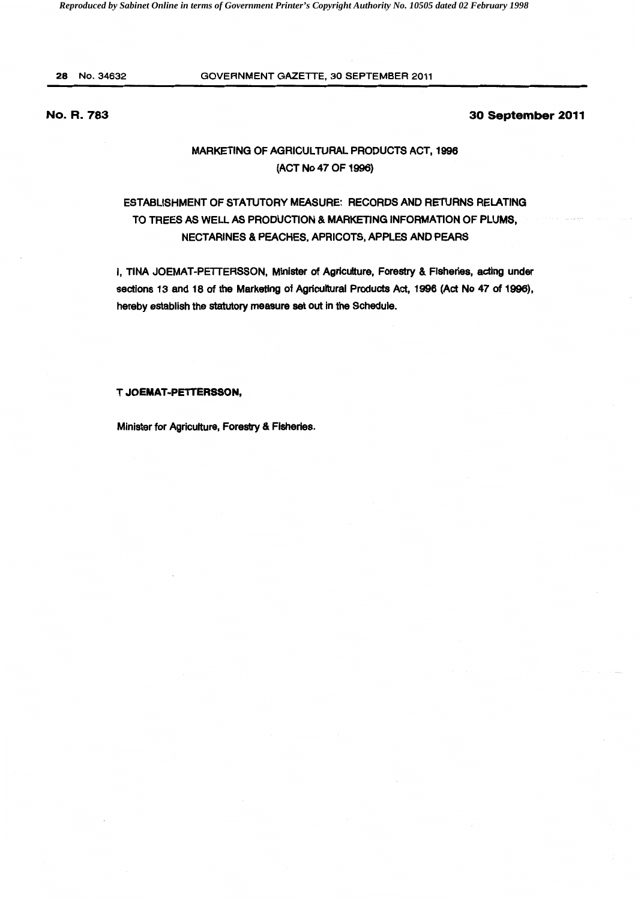### 28 No.34632 GOVERNMENT GAZETTE, 30 SEPTEMBER 2011

## No. R. 783

### 30 September 2011

## MARKETING OF AGRICULTURAL PRODUCTS ACT, 1996 (ACT No 47 OF 1996)

# ESTABLISHMENT OF STATUTORY MEASURE: RECORDS AND RETURNS RELATING TO TREES AS WELL AS PRODUCTION & MARKETING INFORMATION OF PLUMS, NECTARINES & PEACHES, APRICOTS, APPLES AND PEARS

I, TINA JOEMAT-PETTERSSON, Minister of Agriculture, Forestry & Fisheries, acting under sections 13 and 18 of the Marketing of Agricultural Products Act, 1996 (Act No 47 of 1996), hereby establish the statutory measure set out in the Schedule.

#### T JOEMAT-PETTERSSON,

Minister for Agriculture, Forestry & Fisheries.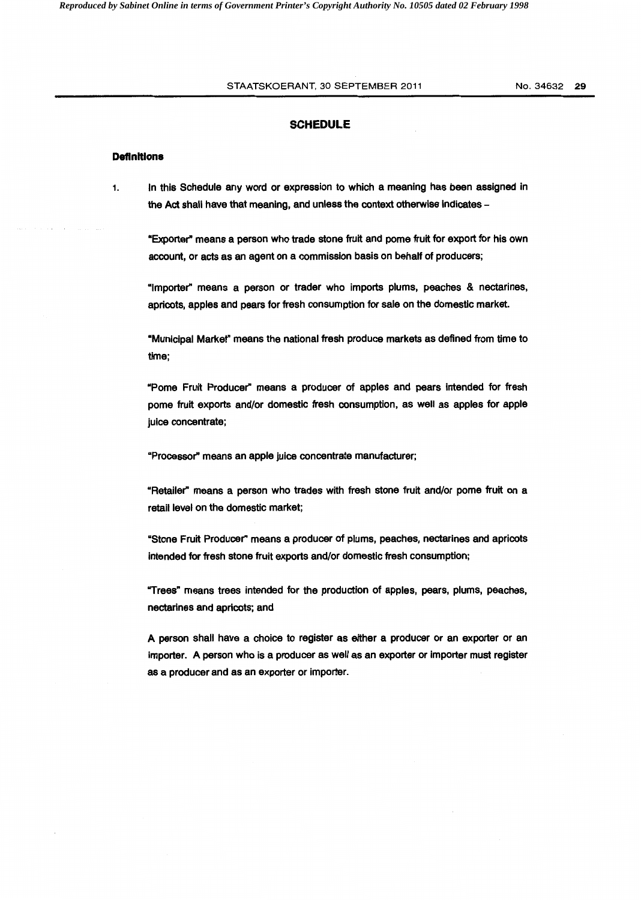#### STAATSKOERANT, 30 SEPTEMBER 2011 No. 34632 29

#### **SCHEDULE**

### **Definitions**

1. In this Schedule any word or expression to which a meaning has been assigned in the Act shall have that meaning, and unless the context otherwise indicates -

"Exporter" means a person who trade stone fruit and pome fruit for export for his own account, or acts as an agent on a commission basis on behalf of producers;

"Importer" means a person or trader who imports plums, peaches & nectarines, apricots, apples and pears for fresh consumption for sale on the domestic market.

"Municipal Markef' means the national fresh produce markets as defined from time to time;

"Pome Fruit Producer" means a producer of apples and pears intended for fresh pome fruit exports and/or domestic fresh consumption, as well as apples for apple juice concentrate;

"Processor" means an apple juice concentrate manufacturer;

"Retailer" means a person who trades with fresh stone fruit and/or pome fruit on a retail level on the domestic market;

"Stone Fruit Producer" means a producer of plums, peaches, nectarines and apricots intended for fresh stone fruit exports and/or domestic fresh consumption;

"Trees" means trees intended for the production of apples, pears, plums, peaches, nectarines and apricots; and

A person shall have a choice to register as either a producer or an exporter or an importer. A person who is a producer as well as an exporter or importer must register as a producer and as an exporter or importer.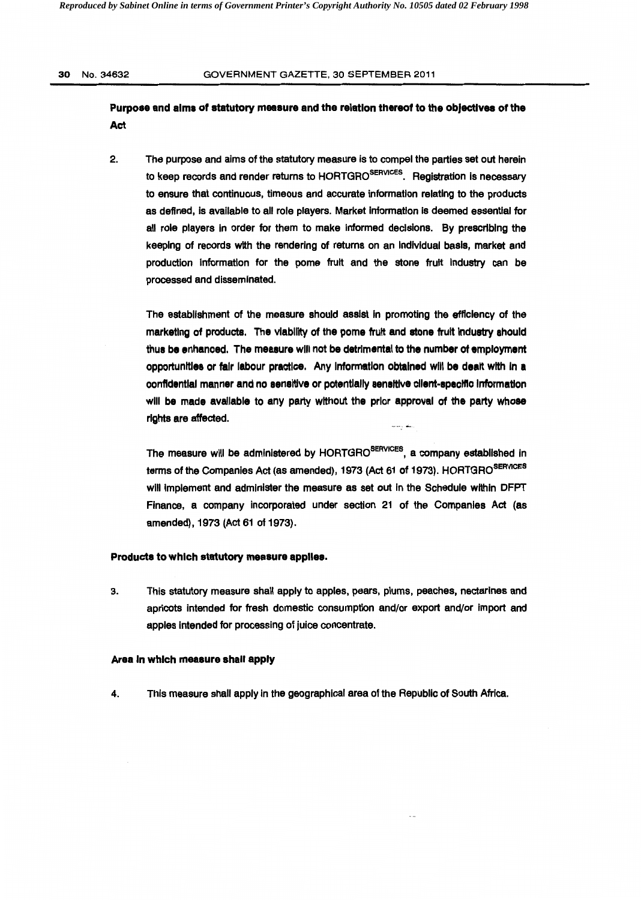### 30 No. 34632 GOVERNMENT GAZETTE, 30 SEPTEMBER 2011

## Purpose and alma of statutory measure and the relation thereof to the objectlvea of the Act

2. The purpose and aims of the statutory measure is to compel the parties set out herein to keep records and render returns to HORTGRO<sup>SERVICES</sup>. Registration is necessary to ensure that continuous, timeous and accurate information relating to the products as defined, is available to all role players. Market information is deemed essential for all role players In order for them to make informed decisions. By prescribing the keeping of records with the rendering of returns on an Individual basis, market and production Information for the pome fruit and the stone fruit Industry can be processed and disseminated.

The establishment of the measure should assist in promoting the efficiency of the marketing of products. The viability of the pome fruit and atone fruit Industry should thus be enhanced. The measure will not be detrimental to the number of employment opportunltlea or fair labour practice. Any Information obtained will be dealt with In a confidential manner and no sensitive or potentially sensitive client-specific information will be made available to any party without the prior approval of the party whose rights are affected.

The measure will be administered by HORTGRO<sup>SERVICES</sup>, a company established in terms of the Companies Act (as amended), 1973 (Act 61 of 1973). HORTGRO<sup>SERVICES</sup> will Implement and administer the measure as set out In the Schedule within DFPT Finance, a company incorporated under section 21 of the Companies Act (as amended), 1973 (Act 61 of 1973).

#### Products to which statutory measure applies.

3. This statutory measure shall apply to apples, pears, plums, peaches, nectarines and apricots intended for fresh domestic consumption and/or export and/or Import and apples intended for processing of juice concentrate.

#### Area In which measure shall apply

4. This measure shall apply in the geographical area of the Republic of South Africa.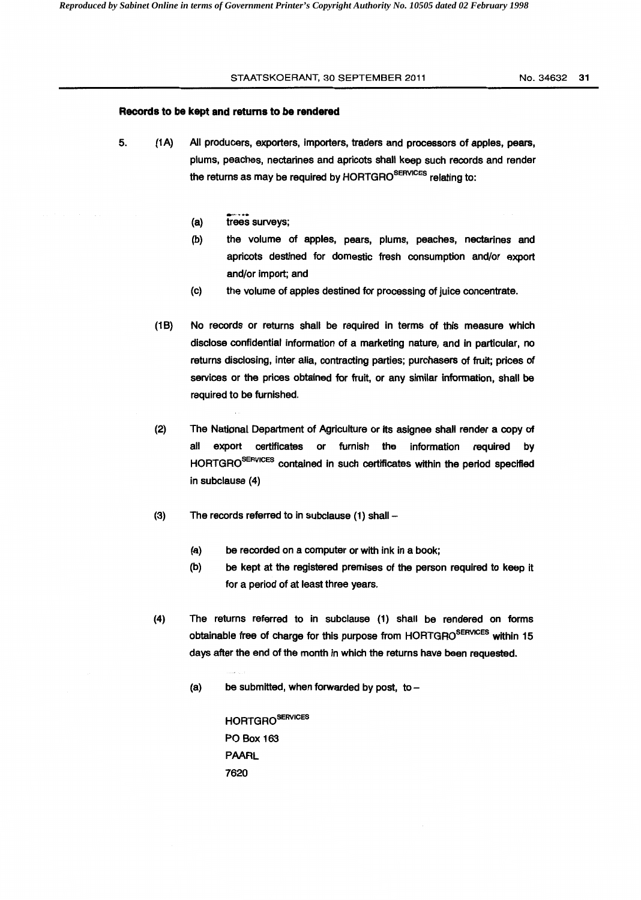#### STAATSKOERANT, 30 SEPTEMBER 2011 No. 34632 31

#### **Records to be kept and returns to be rendered**

- 5. (1 A) All producers, exporters, importers, traders and processors of apples, pears, plums, peaches, nectarines and apricots shall keep such records and render the returns as may be required by HORTGRO<sup>SERVICES</sup> relating to:
	- (a) trees surveys;
	- (b) the volume of apples, pears, plums, peaches, nectarines and apricots destined for domestic fresh consumption and/or export and/or import; and
	- (c) the volume of apples destined for processing of juice concentrate.
	- (1B) No records or returns shall be required in terms of this measure which disclose confidential information of a marketing nature, and in particular, no returns disclosing, inter alia, contracting parties; purchasers of fruit; prices of services or the prices obtained for fruit, or any similar information, shall be required to be furnished.
	- (2) The National Department of Agriculture or its asignee shall render a copy of all export certificates or furnish the information required by HORTGRO<sup>SERVICES</sup> contained in such certificates within the period specified in subclause (4)
	- (3) The records referred to in subclause  $(1)$  shall -
		- (a) be recorded on a computer or with ink in a book;
		- (b) be kept at the registered premises of the person required to keep it for a period of at least three years.
	- (4) The returns referred to in subclause (1) shall be rendered on forms obtainable free of charge for this purpose from HORTGRO<sup>SERVICES</sup> within 15 days after the end of the month in which the returns have been requested.
		- (a) be submitted, when forwarded by post, to  $-$

HORTGROSERVICES PO Box 163 PAARL 7620